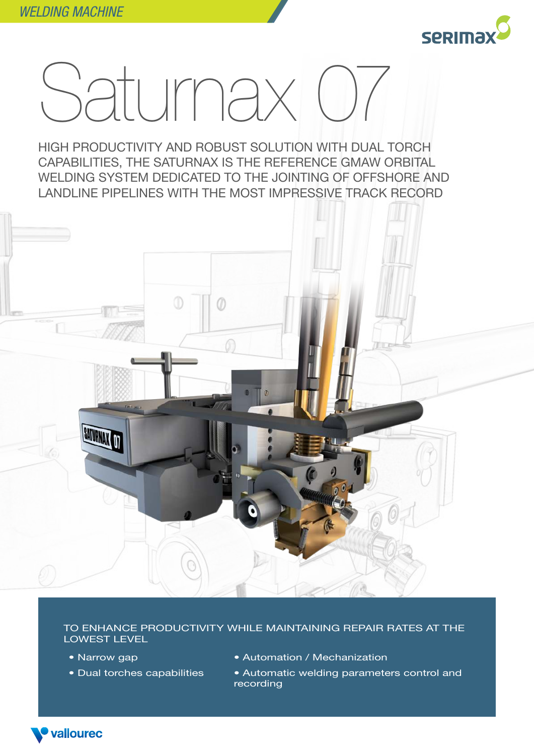

## Saturnax 07

HIGH PRODUCTIVITY AND ROBUST SOLUTION WITH DUAL TORCH CAPABILITIES, THE SATURNAX IS THE REFERENCE GMAW ORBITAL WELDING SYSTEM DEDICATED TO THE JOINTING OF OFFSHORE AND LANDLINE PIPELINES WITH THE MOST IMPRESSIVE TRACK RECORD



TO ENHANCE PRODUCTIVITY WHILE MAINTAINING REPAIR RATES AT THE LOWEST LEVEL

- Narrow gap
- Dual torches capabilities
- Automation / Mechanization
- Automatic welding parameters control and recording